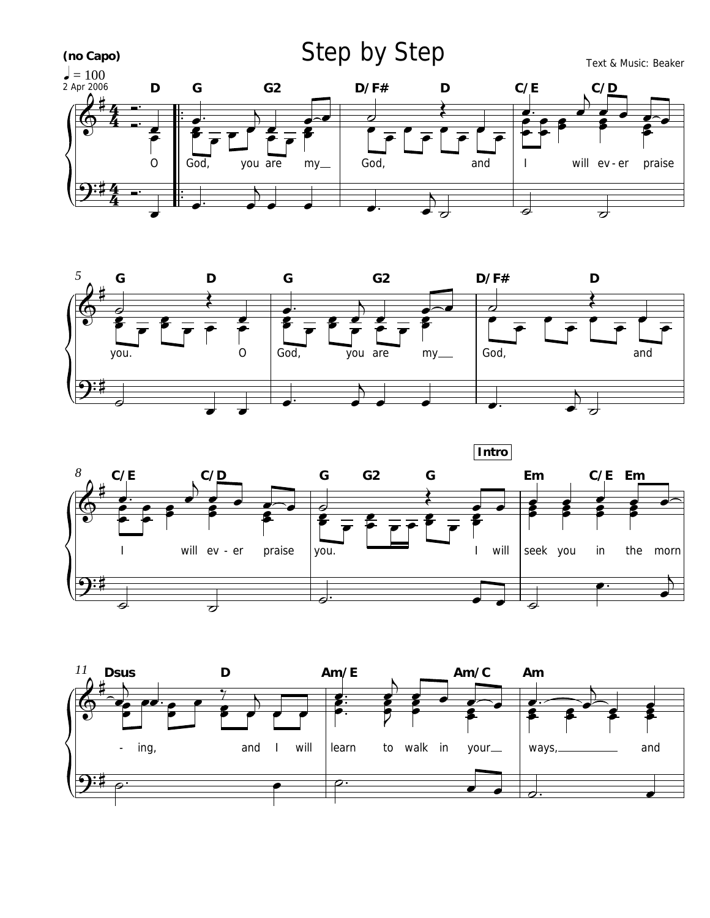